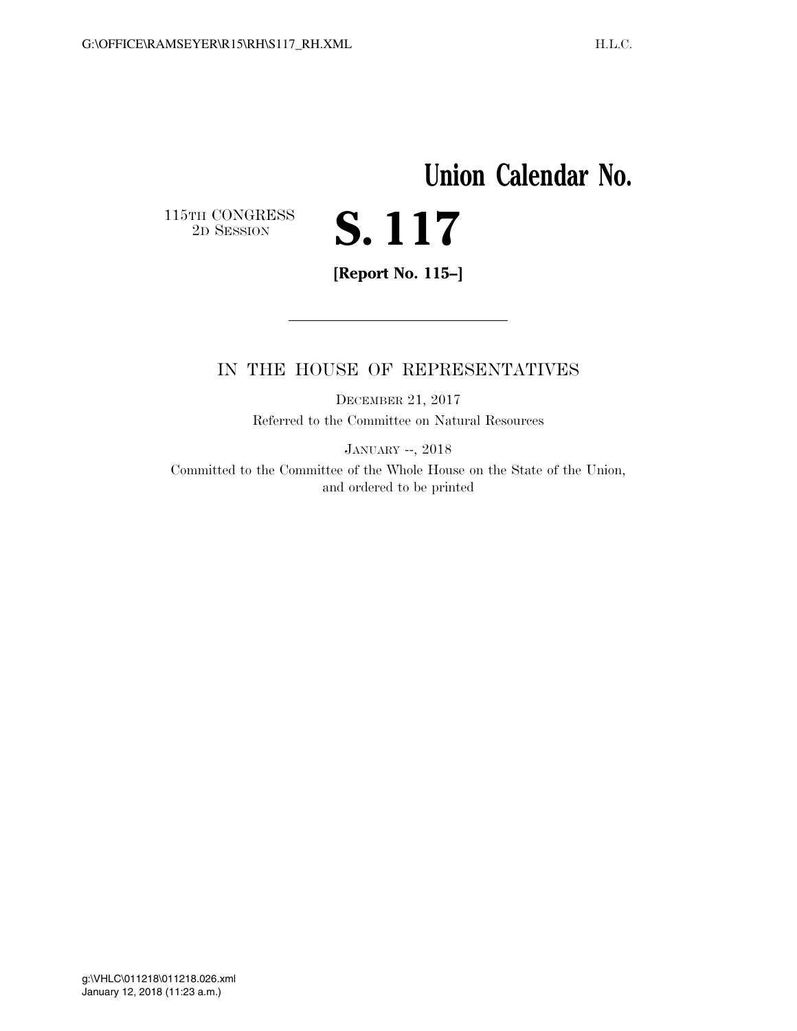## **Union Calendar No.**   $\begin{array}{c} \textbf{115TH CONGRESS} \\ \textbf{2D} \textbf{S} \textbf{ESSION} \end{array}$ **S. 117**

**[Report No. 115–]** 

## IN THE HOUSE OF REPRESENTATIVES

DECEMBER 21, 2017 Referred to the Committee on Natural Resources

JANUARY --, 2018

Committed to the Committee of the Whole House on the State of the Union, and ordered to be printed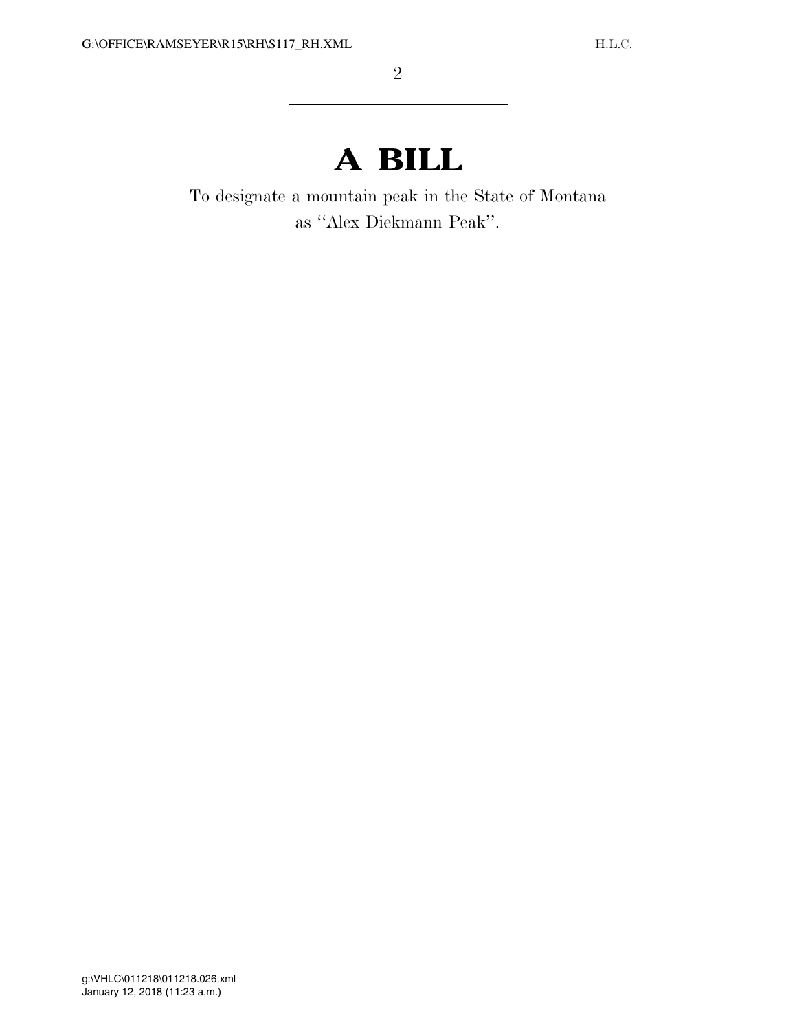## **A BILL**

To designate a mountain peak in the State of Montana as ''Alex Diekmann Peak''.